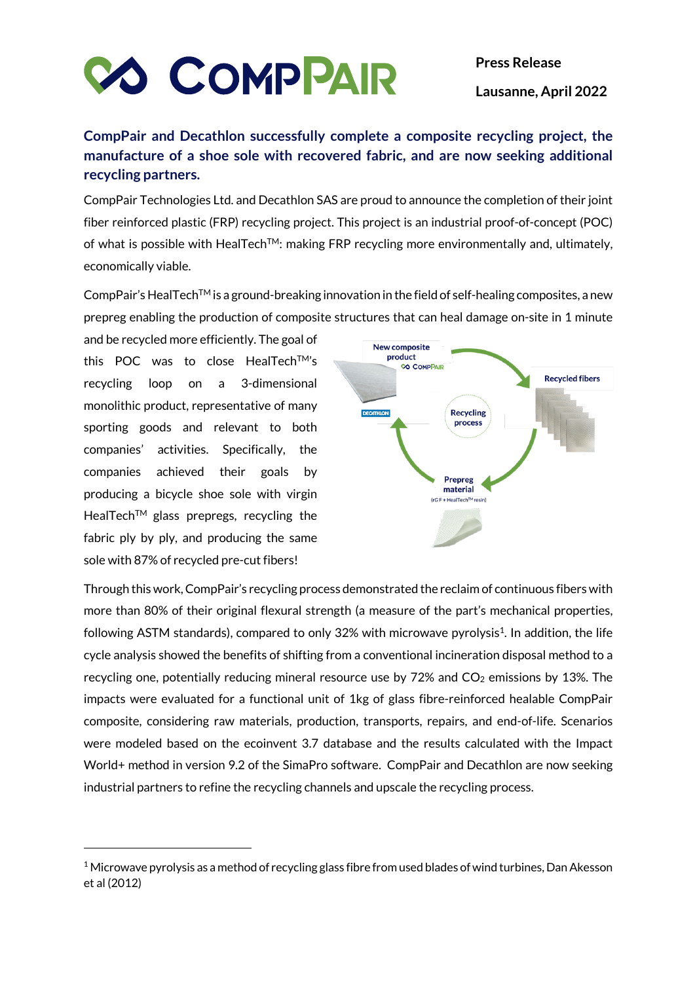

## **CompPair and Decathlon successfully complete a composite recycling project, the manufacture of a shoe sole with recovered fabric, and are now seeking additional recycling partners.**

CompPair Technologies Ltd. and Decathlon SAS are proud to announce the completion of their joint fiber reinforced plastic (FRP) recycling project. This project is an industrial proof-of-concept (POC) of what is possible with HealTech<sup>TM</sup>: making FRP recycling more environmentally and, ultimately, economically viable.

CompPair's HealTech<sup>TM</sup> is a ground-breaking innovation in the field of self-healing composites, a new prepreg enabling the production of composite structures that can heal damage on-site in 1 minute

and be recycled more efficiently. The goal of this POC was to close HealTech™'s recycling loop on a 3-dimensional monolithic product, representative of many sporting goods and relevant to both companies' activities. Specifically, the companies achieved their goals by producing a bicycle shoe sole with virgin HealTech<sup>™</sup> glass prepregs, recycling the fabric ply by ply, and producing the same sole with 87% of recycled pre-cut fibers!



Through this work, CompPair's recycling process demonstrated the reclaim of continuous fibers with more than 80% of their original flexural strength (a measure of the part's mechanical properties, following ASTM standards), compared to only 32% with microwave pyrolysis<sup>1</sup>. In addition, the life cycle analysis showed the benefits of shifting from a conventional incineration disposal method to a recycling one, potentially reducing mineral resource use by  $72\%$  and  $CO<sub>2</sub>$  emissions by 13%. The impacts were evaluated for a functional unit of 1kg of glass fibre-reinforced healable CompPair composite, considering raw materials, production, transports, repairs, and end-of-life. Scenarios were modeled based on the ecoinvent 3.7 database and the results calculated with the Impact World+ method in version 9.2 of the SimaPro software. CompPair and Decathlon are now seeking industrial partners to refine the recycling channels and upscale the recycling process.

 $1$  Microwave pyrolysis as a method of recycling glass fibre from used blades of wind turbines, Dan Akesson et al (2012)